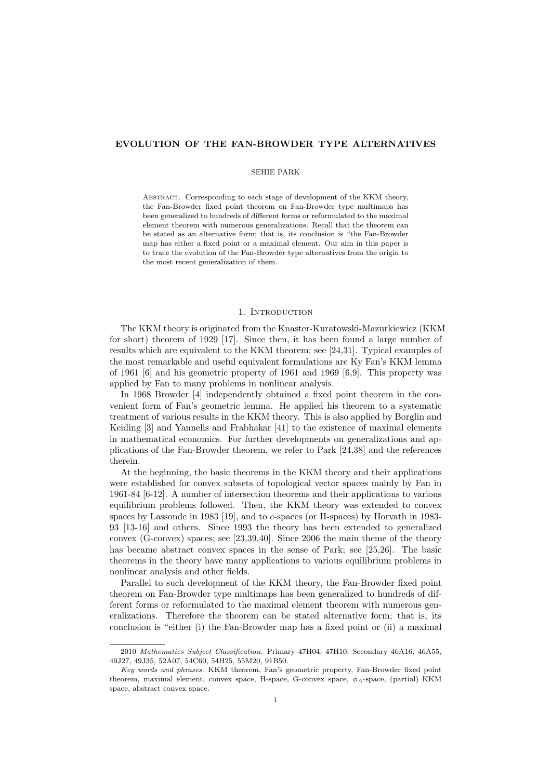# **EVOLUTION OF THE FAN-BROWDER TYPE ALTERNATIVES**

## SEHIE PARK

Abstract. Corresponding to each stage of development of the KKM theory, the Fan-Browder fixed point theorem on Fan-Browder type multimaps has been generalized to hundreds of different forms or reformulated to the maximal element theorem with numerous generalizations. Recall that the theorem can be stated as an alternative form; that is, its conclusion is "the Fan-Browder map has either a fixed point or a maximal element. Our aim in this paper is to trace the evolution of the Fan-Browder type alternatives from the origin to the most recent generalization of them.

# 1. INTRODUCTION

The KKM theory is originated from the Knaster-Kuratowski-Mazurkiewicz (KKM for short) theorem of 1929 [17]. Since then, it has been found a large number of results which are equivalent to the KKM theorem; see [24,31]. Typical examples of the most remarkable and useful equivalent formulations are Ky Fan's KKM lemma of 1961 [6] and his geometric property of 1961 and 1969 [6,9]. This property was applied by Fan to many problems in nonlinear analysis.

In 1968 Browder [4] independently obtained a fixed point theorem in the convenient form of Fan's geometric lemma. He applied his theorem to a systematic treatment of various results in the KKM theory. This is also applied by Borglin and Keiding [3] and Yannelis and Frabhakar [41] to the existence of maximal elements in mathematical economics. For further developments on generalizations and applications of the Fan-Browder theorem, we refer to Park [24,38] and the references therein.

At the beginning, the basic theorems in the KKM theory and their applications were established for convex subsets of topological vector spaces mainly by Fan in 1961-84 [6-12]. A number of intersection theorems and their applications to various equilibrium problems followed. Then, the KKM theory was extended to convex spaces by Lassonde in 1983 [19], and to *c*-spaces (or H-spaces) by Horvath in 1983- 93 [13-16] and others. Since 1993 the theory has been extended to generalized convex (G-convex) spaces; see [23,39,40]. Since 2006 the main theme of the theory has became abstract convex spaces in the sense of Park; see [25,26]. The basic theorems in the theory have many applications to various equilibrium problems in nonlinear analysis and other fields.

Parallel to such development of the KKM theory, the Fan-Browder fixed point theorem on Fan-Browder type multimaps has been generalized to hundreds of different forms or reformulated to the maximal element theorem with numerous generalizations. Therefore the theorem can be stated alternative form; that is, its conclusion is "either (i) the Fan-Browder map has a fixed point or (ii) a maximal

<sup>2010</sup> *Mathematics Subject Classification.* Primary 47H04, 47H10; Secondary 46A16, 46A55, 49J27, 49J35, 52A07, 54C60, 54H25, 55M20, 91B50.

*Key words and phrases.* KKM theorem, Fan's geometric property, Fan-Browder fixed point theorem, maximal element, convex space, H-space, G-convex space, *ϕA*-space, (partial) KKM space, abstract convex space.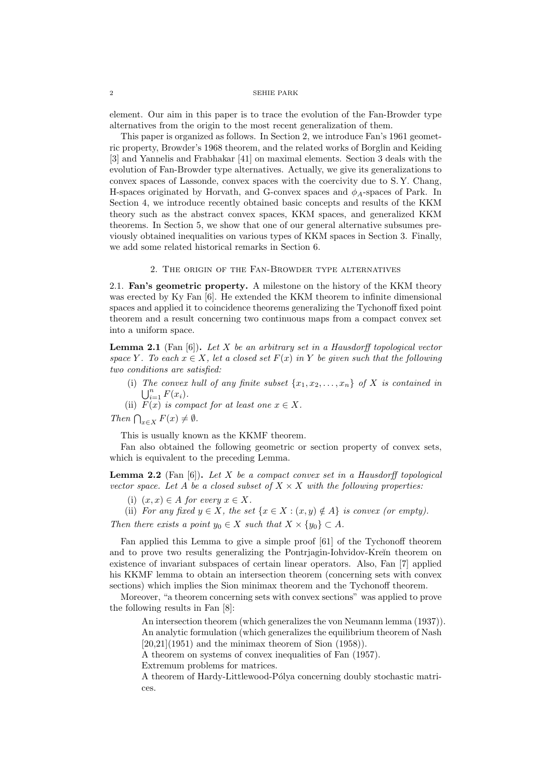element. Our aim in this paper is to trace the evolution of the Fan-Browder type alternatives from the origin to the most recent generalization of them.

This paper is organized as follows. In Section 2, we introduce Fan's 1961 geometric property, Browder's 1968 theorem, and the related works of Borglin and Keiding [3] and Yannelis and Frabhakar [41] on maximal elements. Section 3 deals with the evolution of Fan-Browder type alternatives. Actually, we give its generalizations to convex spaces of Lassonde, convex spaces with the coercivity due to S. Y. Chang, H-spaces originated by Horvath, and G-convex spaces and *ϕA*-spaces of Park. In Section 4, we introduce recently obtained basic concepts and results of the KKM theory such as the abstract convex spaces, KKM spaces, and generalized KKM theorems. In Section 5, we show that one of our general alternative subsumes previously obtained inequalities on various types of KKM spaces in Section 3. Finally, we add some related historical remarks in Section 6.

## 2. The origin of the Fan-Browder type alternatives

2.1. **Fan's geometric property.** A milestone on the history of the KKM theory was erected by Ky Fan [6]. He extended the KKM theorem to infinite dimensional spaces and applied it to coincidence theorems generalizing the Tychonoff fixed point theorem and a result concerning two continuous maps from a compact convex set into a uniform space.

**Lemma 2.1** (Fan [6])**.** *Let X be an arbitrary set in a Hausdorff topological vector space Y*. To each  $x \in X$ , let a closed set  $F(x)$  *in Y* be given such that the following *two conditions are satisfied:*

(i) The convex hull of any finite subset  $\{x_1, x_2, \ldots, x_n\}$  of X is contained in  $\bigcup_{i=1}^n F(x_i)$ .

(ii)  $F(x)$  *is compact for at least one*  $x \in X$ *.* 

*Then*  $\bigcap_{x \in X} F(x) \neq \emptyset$ *.* 

This is usually known as the KKMF theorem.

Fan also obtained the following geometric or section property of convex sets, which is equivalent to the preceding Lemma.

**Lemma 2.2** (Fan [6])**.** *Let X be a compact convex set in a Hausdorff topological vector space. Let A be a closed subset of*  $X \times X$  *with the following properties:* 

- (i)  $(x, x) \in A$  *for every*  $x \in X$ *.*
- (ii) *For any fixed*  $y \in X$ *, the set*  $\{x \in X : (x, y) \notin A\}$  *is convex (or empty).*

*Then there exists a point*  $y_0 \in X$  *such that*  $X \times \{y_0\} \subset A$ .

Fan applied this Lemma to give a simple proof [61] of the Tychonoff theorem and to prove two results generalizing the Pontriagin-Iohvidov-Kreĭn theorem on existence of invariant subspaces of certain linear operators. Also, Fan [7] applied his KKMF lemma to obtain an intersection theorem (concerning sets with convex sections) which implies the Sion minimax theorem and the Tychonoff theorem.

Moreover, "a theorem concerning sets with convex sections" was applied to prove the following results in Fan [8]:

An intersection theorem (which generalizes the von Neumann lemma (1937)). An analytic formulation (which generalizes the equilibrium theorem of Nash  $[20,21](1951)$  and the minimax theorem of Sion  $(1958)$ ).

A theorem on systems of convex inequalities of Fan (1957).

Extremum problems for matrices.

A theorem of Hardy-Littlewood-Pólya concerning doubly stochastic matrices.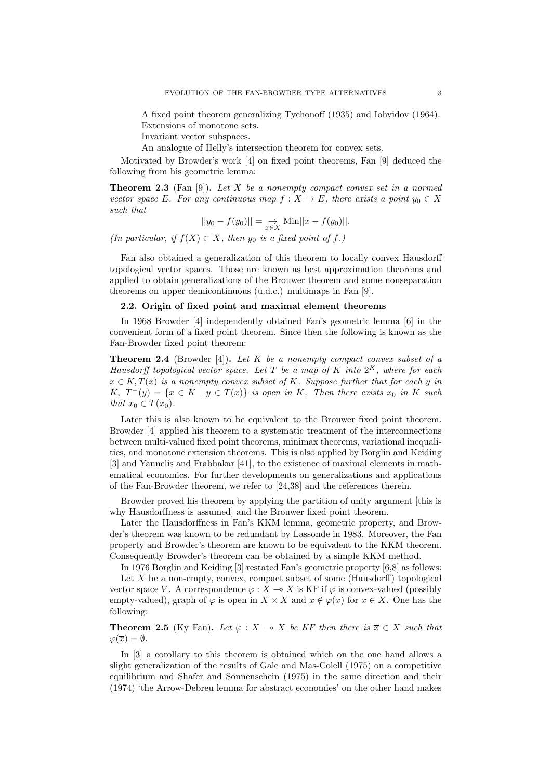A fixed point theorem generalizing Tychonoff (1935) and Iohvidov (1964). Extensions of monotone sets.

Invariant vector subspaces.

An analogue of Helly's intersection theorem for convex sets.

Motivated by Browder's work [4] on fixed point theorems, Fan [9] deduced the following from his geometric lemma:

**Theorem 2.3** (Fan [9])**.** *Let X be a nonempty compact convex set in a normed vector space E. For any continuous map*  $f: X \to E$ *, there exists a point*  $y_0 \in X$ *such that*

$$
||y_0 - f(y_0)|| = \sup_{x \in X} \text{Min}||x - f(y_0)||.
$$

*(In particular, if f*(*X*) *⊂ X, then y*<sup>0</sup> *is a fixed point of f.)*

Fan also obtained a generalization of this theorem to locally convex Hausdorff topological vector spaces. Those are known as best approximation theorems and applied to obtain generalizations of the Brouwer theorem and some nonseparation theorems on upper demicontinuous (u.d.c.) multimaps in Fan [9].

# **2.2. Origin of fixed point and maximal element theorems**

In 1968 Browder [4] independently obtained Fan's geometric lemma [6] in the convenient form of a fixed point theorem. Since then the following is known as the Fan-Browder fixed point theorem:

**Theorem 2.4** (Browder [4])**.** *Let K be a nonempty compact convex subset of a Hausdorff topological vector space. Let T be a map of K into* 2 *<sup>K</sup>, where for each*  $x \in K$ ,  $T(x)$  *is a nonempty convex subset of*  $K$ *. Suppose further that for each*  $y$  *in K,*  $T^{-}(y) = \{x \in K \mid y \in T(x)\}$  *is open in K. Then there exists*  $x_0$  *in K such that*  $x_0 \in T(x_0)$ *.* 

Later this is also known to be equivalent to the Brouwer fixed point theorem. Browder [4] applied his theorem to a systematic treatment of the interconnections between multi-valued fixed point theorems, minimax theorems, variational inequalities, and monotone extension theorems. This is also applied by Borglin and Keiding [3] and Yannelis and Frabhakar [41], to the existence of maximal elements in mathematical economics. For further developments on generalizations and applications of the Fan-Browder theorem, we refer to [24,38] and the references therein.

Browder proved his theorem by applying the partition of unity argument [this is why Hausdorffness is assumed and the Brouwer fixed point theorem.

Later the Hausdorffness in Fan's KKM lemma, geometric property, and Browder's theorem was known to be redundant by Lassonde in 1983. Moreover, the Fan property and Browder's theorem are known to be equivalent to the KKM theorem. Consequently Browder's theorem can be obtained by a simple KKM method.

In 1976 Borglin and Keiding [3] restated Fan's geometric property [6,8] as follows:

Let *X* be a non-empty, convex, compact subset of some (Hausdorff) topological vector space *V*. A correspondence  $\varphi : X \to X$  is KF if  $\varphi$  is convex-valued (possibly empty-valued), graph of  $\varphi$  is open in  $X \times X$  and  $x \notin \varphi(x)$  for  $x \in X$ . One has the following:

**Theorem 2.5** (Ky Fan). Let  $\varphi$  :  $X \to X$  be KF then there is  $\overline{x} \in X$  such that  $\varphi(\overline{x}) = \emptyset$ .

In [3] a corollary to this theorem is obtained which on the one hand allows a slight generalization of the results of Gale and Mas-Colell (1975) on a competitive equilibrium and Shafer and Sonnenschein (1975) in the same direction and their (1974) 'the Arrow-Debreu lemma for abstract economies' on the other hand makes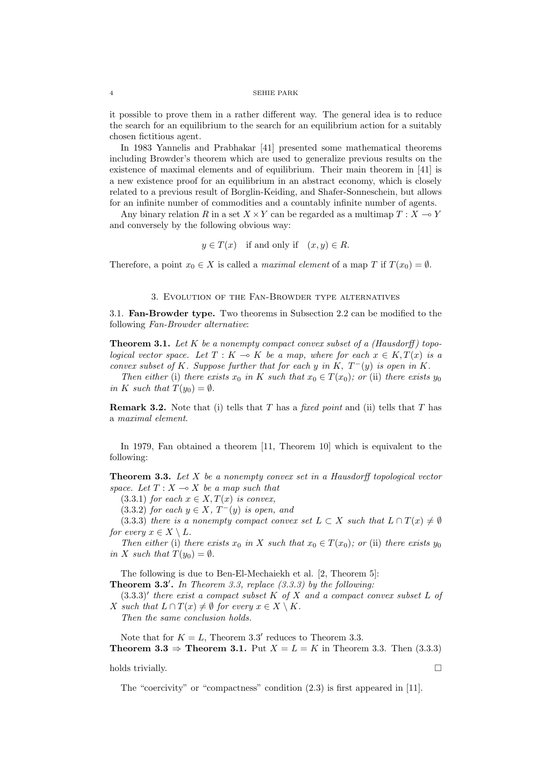it possible to prove them in a rather different way. The general idea is to reduce the search for an equilibrium to the search for an equilibrium action for a suitably chosen fictitious agent.

In 1983 Yannelis and Prabhakar [41] presented some mathematical theorems including Browder's theorem which are used to generalize previous results on the existence of maximal elements and of equilibrium. Their main theorem in [41] is a new existence proof for an equilibrium in an abstract economy, which is closely related to a previous result of Borglin-Keiding, and Shafer-Sonneschein, but allows for an infinite number of commodities and a countably infinite number of agents.

Any binary relation *R* in a set  $X \times Y$  can be regarded as a multimap  $T : X \to Y$ and conversely by the following obvious way:

$$
y \in T(x)
$$
 if and only if  $(x, y) \in R$ .

Therefore, a point  $x_0 \in X$  is called a *maximal element* of a map *T* if  $T(x_0) = \emptyset$ .

## 3. Evolution of the Fan-Browder type alternatives

3.1. **Fan-Browder type.** Two theorems in Subsection 2.2 can be modified to the following *Fan-Browder alternative*:

**Theorem 3.1.** Let  $K$  be a nonempty compact convex subset of a (Hausdorff) topo*logical vector space.* Let  $T: K \to K$  be a map, where for each  $x \in K, T(x)$  is a *convex subset of*  $K$ *. Suppose further that for each*  $y$  *in*  $K$ *,*  $T^-(y)$  *is open in*  $K$ *.* 

*Then either* (i) *there exists*  $x_0$  *in*  $K$  *such that*  $x_0 \in T(x_0)$ *; or* (ii) *there exists*  $y_0$ *in K such that*  $T(y_0) = \emptyset$ *.* 

**Remark 3.2.** Note that (i) tells that *T* has a *fixed point* and (ii) tells that *T* has a *maximal element*.

In 1979, Fan obtained a theorem [11, Theorem 10] which is equivalent to the following:

**Theorem 3.3.** *Let X be a nonempty convex set in a Hausdorff topological vector space.* Let  $T: X \rightarrow X$  be a map such that

 $(3.3.1)$  *for each*  $x \in X, T(x)$  *is convex,* 

 $(3.3.2)$  *for each*  $y \in X$ *,*  $T^-(y)$  *is open, and* 

(3.3.3) *there is a nonempty compact convex set*  $L \subset X$  *such that*  $L \cap T(x) \neq \emptyset$ *for every*  $x \in X \setminus L$ *.* 

*Then either* (i) *there exists*  $x_0$  *in*  $X$  *such that*  $x_0 \in T(x_0)$ ; *or* (ii) *there exists*  $y_0$ *in X such that*  $T(y_0) = \emptyset$ *.* 

The following is due to Ben-El-Mechaiekh et al. [2, Theorem 5]:

**Theorem 3.3***′* **.** *In Theorem 3.3, replace (3.3.3) by the following:*

(3.3.3)*′ there exist a compact subset K of X and a compact convex subset L of X* such that  $L \cap T(x) \neq \emptyset$  for every  $x \in X \setminus K$ .

*Then the same conclusion holds.*

Note that for  $K = L$ , Theorem 3.3<sup>'</sup> reduces to Theorem 3.3. **Theorem 3.3**  $\Rightarrow$  **Theorem 3.1.** Put *X* = *L* = *K* in Theorem 3.3. Then (3.3.3)

holds trivially.  $\Box$ 

The "coercivity" or "compactness" condition (2.3) is first appeared in [11].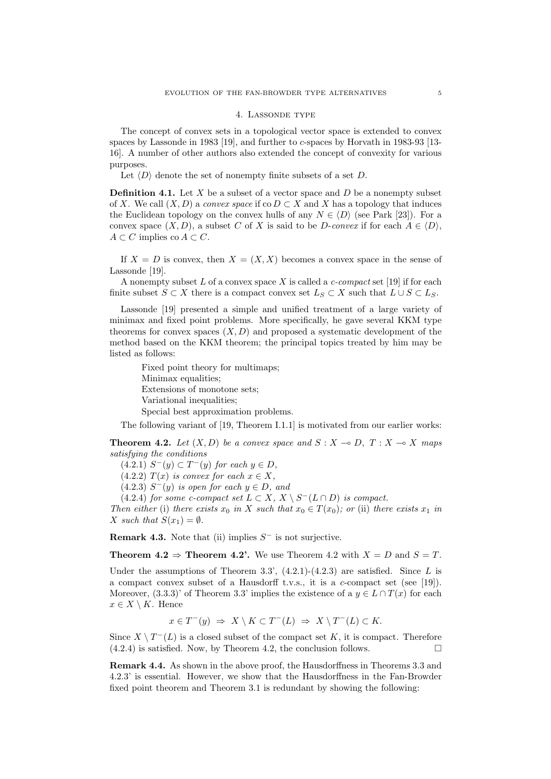### 4. Lassonde type

The concept of convex sets in a topological vector space is extended to convex spaces by Lassonde in 1983 [19], and further to *c*-spaces by Horvath in 1983-93 [13- 16]. A number of other authors also extended the concept of convexity for various purposes.

Let  $\langle D \rangle$  denote the set of nonempty finite subsets of a set *D*.

**Definition 4.1.** Let *X* be a subset of a vector space and *D* be a nonempty subset of *X*. We call  $(X, D)$  a *convex space* if co  $D \subset X$  and X has a topology that induces the Euclidean topology on the convex hulls of any  $N \in \langle D \rangle$  (see Park [23]). For a convex space  $(X, D)$ , a subset *C* of *X* is said to be *D*-*convex* if for each  $A \in \langle D \rangle$ , *A*  $\subset$  *C* implies co *A*  $\subset$  *C*.

If  $X = D$  is convex, then  $X = (X, X)$  becomes a convex space in the sense of Lassonde [19].

A nonempty subset *L* of a convex space *X* is called a *c-compact* set [19] if for each finite subset  $S \subset X$  there is a compact convex set  $L_S \subset X$  such that  $L \cup S \subset L_S$ .

Lassonde [19] presented a simple and unified treatment of a large variety of minimax and fixed point problems. More specifically, he gave several KKM type theorems for convex spaces  $(X, D)$  and proposed a systematic development of the method based on the KKM theorem; the principal topics treated by him may be listed as follows:

Fixed point theory for multimaps; Minimax equalities; Extensions of monotone sets; Variational inequalities; Special best approximation problems.

The following variant of [19, Theorem I.1.1] is motivated from our earlier works:

**Theorem 4.2.** Let  $(X, D)$  be a convex space and  $S: X \rightarrow D, T: X \rightarrow X$  maps *satisfying the conditions*

 $(4.2.1)$  *S*<sup>−</sup>(*y*)  $\subset T$ <sup>−</sup>(*y*) *for each*  $y \in D$ *,* 

 $(4.2.2)$  *T*(*x*) *is convex for each*  $x \in X$ ,

 $(4.2.3)$   $S^-(y)$  *is open for each*  $y \in D$ *, and* 

 $(4.2.4)$  *for some c-compact set*  $L \subset X$ ,  $X \setminus S^{-}(L \cap D)$  *is compact.* 

*Then either* (i) *there exists*  $x_0$  *in*  $X$  *such that*  $x_0 \in T(x_0)$ *; or* (ii) *there exists*  $x_1$  *in X such that*  $S(x_1) = \emptyset$ *.* 

**Remark 4.3.** Note that (ii) implies *S <sup>−</sup>* is not surjective.

**Theorem 4.2**  $\Rightarrow$  **Theorem 4.2'.** We use Theorem 4.2 with  $X = D$  and  $S = T$ .

Under the assumptions of Theorem 3.3', (4.2.1)-(4.2.3) are satisfied. Since *L* is a compact convex subset of a Hausdorff t.v.s., it is a *c*-compact set (see [19]). Moreover,  $(3.3.3)$ ' of Theorem 3.3' implies the existence of a  $y \in L \cap T(x)$  for each  $x \in X \setminus K$ . Hence

$$
x \in T^{-}(y) \Rightarrow X \setminus K \subset T^{-}(L) \Rightarrow X \setminus T^{-}(L) \subset K.
$$

Since  $X \setminus T^-(L)$  is a closed subset of the compact set K, it is compact. Therefore  $(4.2.4)$  is satisfied. Now, by Theorem 4.2, the conclusion follows.

**Remark 4.4.** As shown in the above proof, the Hausdorffness in Theorems 3.3 and 4.2.3' is essential. However, we show that the Hausdorffness in the Fan-Browder fixed point theorem and Theorem 3.1 is redundant by showing the following: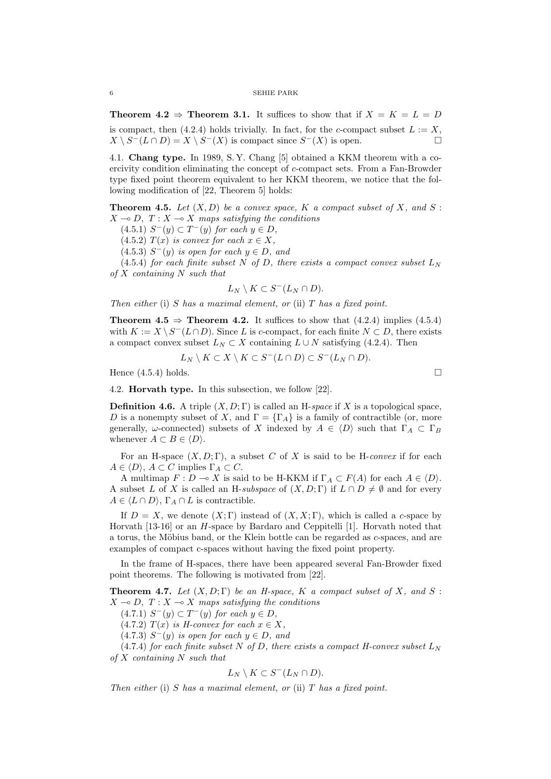**Theorem 4.2**  $\Rightarrow$  **Theorem 3.1.** It suffices to show that if  $X = K = L = D$ is compact, then (4.2.4) holds trivially. In fact, for the *c*-compact subset  $L := X$ ,  $X \setminus S$ <sup>−</sup>( $L \cap D$ ) =  $X \setminus S$ <sup>−</sup>( $X$ ) is compact since  $S$ <sup>−</sup>( $X$ ) is open.

4.1. **Chang type.** In 1989, S. Y. Chang [5] obtained a KKM theorem with a coercivity condition eliminating the concept of *c*-compact sets. From a Fan-Browder type fixed point theorem equivalent to her KKM theorem, we notice that the following modification of [22, Theorem 5] holds:

**Theorem 4.5.** Let  $(X, D)$  be a convex space,  $K$  a compact subset of  $X$ , and  $S$ :  $X \rightarrow D$ ,  $T : X \rightarrow X$  maps satisfying the conditions

 $(4.5.1)$  *S*<sup>−</sup>(*y*)  $\subset$  *T*<sup>−</sup>(*y*) *for each*  $y \in D$ *,* 

- $(4.5.2)$   $T(x)$  *is convex for each*  $x \in X$ ,
- $(4.5.3)$   $S^-(y)$  *is open for each*  $y \in D$ *, and*

(4.5.4) *for each finite subset N of D, there exists a compact convex subset*  $L_N$ *of X containing N such that*

$$
L_N \setminus K \subset S^-(L_N \cap D).
$$

*Then either* (i) *S has a maximal element, or* (ii) *T has a fixed point.*

**Theorem 4.5**  $\Rightarrow$  **Theorem 4.2.** It suffices to show that (4.2.4) implies (4.5.4) with  $K := X \setminus S^{-1}(L \cap D)$ . Since *L* is *c*-compact, for each finite  $N \subset D$ , there exists a compact convex subset  $L_N \subset X$  containing  $L \cup N$  satisfying (4.2.4). Then

$$
L_N \setminus K \subset X \setminus K \subset S^-(L \cap D) \subset S^-(L_N \cap D).
$$

Hence  $(4.5.4)$  holds.

4.2. **Horvath type.** In this subsection, we follow [22].

**Definition 4.6.** A triple  $(X, D; \Gamma)$  is called an H-*space* if X is a topological space, *D* is a nonempty subset of *X*, and  $\Gamma = {\Gamma_A}$  is a family of contractible (or, more generally, *ω*-connected) subsets of *X* indexed by  $A \in \langle D \rangle$  such that  $\Gamma_A \subset \Gamma_B$ whenever  $A \subset B \in \langle D \rangle$ .

For an H-space  $(X, D; \Gamma)$ , a subset C of X is said to be H-*convex* if for each  $A \in \langle D \rangle$ ,  $A \subset C$  implies  $\Gamma_A \subset C$ .

A multimap  $F: D \to X$  is said to be H-KKM if  $\Gamma_A \subset F(A)$  for each  $A \in \langle D \rangle$ . A subset *L* of *X* is called an H-*subspace* of  $(X, D; \Gamma)$  if  $L \cap D \neq \emptyset$  and for every  $A \in \langle L \cap D \rangle$ ,  $\Gamma_A \cap L$  is contractible.

If  $D = X$ , we denote  $(X, \Gamma)$  instead of  $(X, X, \Gamma)$ , which is called a *c*-space by Horvath [13-16] or an *H*-space by Bardaro and Ceppitelli [1]. Horvath noted that a torus, the M¨obius band, or the Klein bottle can be regarded as *c*-spaces, and are examples of compact c-spaces without having the fixed point property.

In the frame of H-spaces, there have been appeared several Fan-Browder fixed point theorems. The following is motivated from [22].

**Theorem 4.7.** *Let*  $(X, D; \Gamma)$  *be an H-space,*  $K$  *a compact subset of*  $X$ *, and*  $S$ :  $X \rightarrow D$ ,  $T : X \rightarrow X$  maps satisfying the conditions

 $(4.7.1)$  *S*<sup>−</sup>(*y*)  $\subset$  *T*<sup>−</sup>(*y*) *for each*  $y \in D$ *,* 

 $(4.7.2)$  *T*(*x*) *is H-convex for each*  $x \in X$ *,* 

 $(4.7.3)$   $S^-(y)$  *is open for each*  $y \in D$ *, and* 

 $(4.7.4)$  *for each finite subset N of D, there exists a compact H-convex subset*  $L_N$ *of X containing N such that*

$$
L_N \setminus K \subset S^-(L_N \cap D).
$$

*Then either* (i) *S has a maximal element, or* (ii) *T has a fixed point.*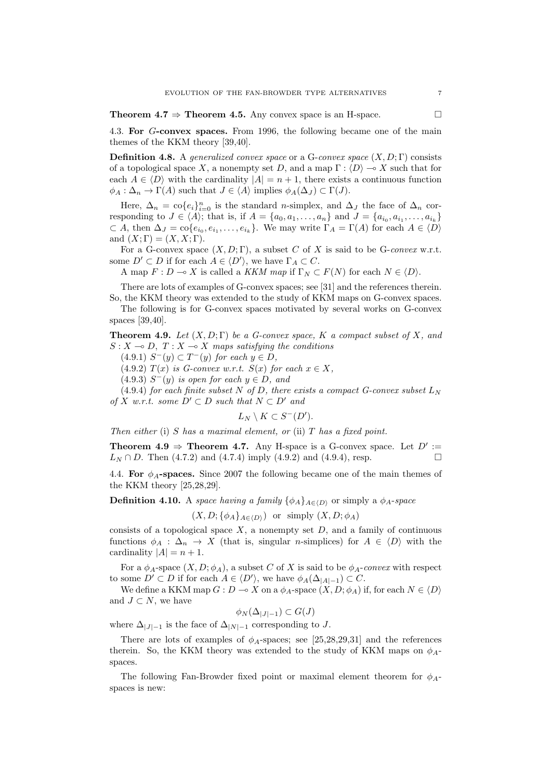**Theorem 4.7**  $\Rightarrow$  **Theorem 4.5.** Any convex space is an H-space.

4.3. **For** *G***-convex spaces.** From 1996, the following became one of the main themes of the KKM theory [39,40].

**Definition 4.8.** A *generalized convex space* or a G-*convex space*  $(X, D; \Gamma)$  consists of a topological space X, a nonempty set D, and a map  $\Gamma$  :  $\langle D \rangle \rightarrow X$  such that for each  $A \in \langle D \rangle$  with the cardinality  $|A| = n + 1$ , there exists a continuous function  $\phi_A : \Delta_n \to \Gamma(A)$  such that  $J \in \langle A \rangle$  implies  $\phi_A(\Delta_J) \subset \Gamma(J)$ .

Here,  $\Delta_n = \text{co}\lbrace e_i \rbrace_{i=0}^n$  is the standard *n*-simplex, and  $\Delta_j$  the face of  $\Delta_n$  corresponding to  $J \in \langle A \rangle$ ; that is, if  $A = \{a_0, a_1, \ldots, a_n\}$  and  $J = \{a_{i_0}, a_{i_1}, \ldots, a_{i_k}\}\$  $\subset A$ , then  $\Delta_J = \text{co}\{e_{i_0}, e_{i_1}, \dots, e_{i_k}\}$ . We may write  $\Gamma_A = \Gamma(A)$  for each  $A \in \langle D \rangle$ and  $(X; \Gamma) = (X, X; \Gamma)$ .

For a G-convex space  $(X, D; \Gamma)$ , a subset C of X is said to be G-convex w.r.t. some  $D' \subset D$  if for each  $A \in \langle D' \rangle$ , we have  $\Gamma_A \subset C$ .

A map  $F: D \to X$  is called a *KKM map* if  $\Gamma_N \subset F(N)$  for each  $N \in \langle D \rangle$ .

There are lots of examples of G-convex spaces; see [31] and the references therein. So, the KKM theory was extended to the study of KKM maps on G-convex spaces.

The following is for G-convex spaces motivated by several works on G-convex spaces [39,40].

**Theorem 4.9.** *Let* (*X, D*; Γ) *be a G-convex space, K a compact subset of X, and*  $S: X \rightarrow D, T: X \rightarrow X$  maps satisfying the conditions

 $(4.9.1)$  *S*<sup>−</sup>(*y*)  $\subset$  *T*<sup>−</sup>(*y*) *for each*  $y \in D$ *,* 

 $(4.9.2)$   $T(x)$  *is G-convex w.r.t.*  $S(x)$  *for each*  $x \in X$ *,* 

 $(4.9.3)$   $S^-(y)$  *is open for each*  $y \in D$ *, and* 

(4.9.4) *for each finite subset*  $N$  *of*  $D$ *, there exists a compact G-convex subset*  $L_N$  $of X$  *w.r.t.* some  $D' \subset D$  *such that*  $N \subset D'$  *and* 

$$
L_N\setminus K\subset S^-(D').
$$

*Then either* (i) *S has a maximal element, or* (ii) *T has a fixed point.*

**Theorem 4.9**  $\Rightarrow$  **Theorem 4.7.** Any H-space is a G-convex space. Let  $D' :=$  $L_N \cap D$ . Then (4.7.2) and (4.7.4) imply (4.9.2) and (4.9.4), resp.

4.4. **For** *ϕA***-spaces.** Since 2007 the following became one of the main themes of the KKM theory [25,28,29].

**Definition 4.10.** A *space having a family*  $\{\phi_A\}_{A \in \langle D \rangle}$  or simply a  $\phi_A$ -*space* 

$$
(X, D; {\phi_A}_{A \in \langle D \rangle})
$$
 or simply  $(X, D; \phi_A)$ 

consists of a topological space *X*, a nonempty set *D*, and a family of continuous functions  $\phi_A : \Delta_n \to X$  (that is, singular *n*-simplices) for  $A \in \langle D \rangle$  with the cardinality  $|A| = n + 1$ .

For a  $\phi_A$ -space  $(X, D; \phi_A)$ , a subset *C* of *X* is said to be  $\phi_A$ -*convex* with respect to some  $D' \subset D$  if for each  $A \in \langle D' \rangle$ , we have  $\phi_A(\Delta_{|A|-1}) \subset C$ .

We define a KKM map  $G: D \to X$  on a  $\phi_A$ -space  $(X, D; \phi_A)$  if, for each  $N \in \langle D \rangle$ and  $J \subset N$ , we have

$$
\phi_N(\Delta_{|J|-1}) \subset G(J)
$$

where  $\Delta$ <sub>*|J*|−1</sub> is the face of  $\Delta$ <sub>|*N*|−1</sub> corresponding to *J*.

There are lots of examples of  $\phi_A$ -spaces; see [25,28,29,31] and the references therein. So, the KKM theory was extended to the study of KKM maps on  $\phi_A$ spaces.

The following Fan-Browder fixed point or maximal element theorem for  $\phi_A$ spaces is new: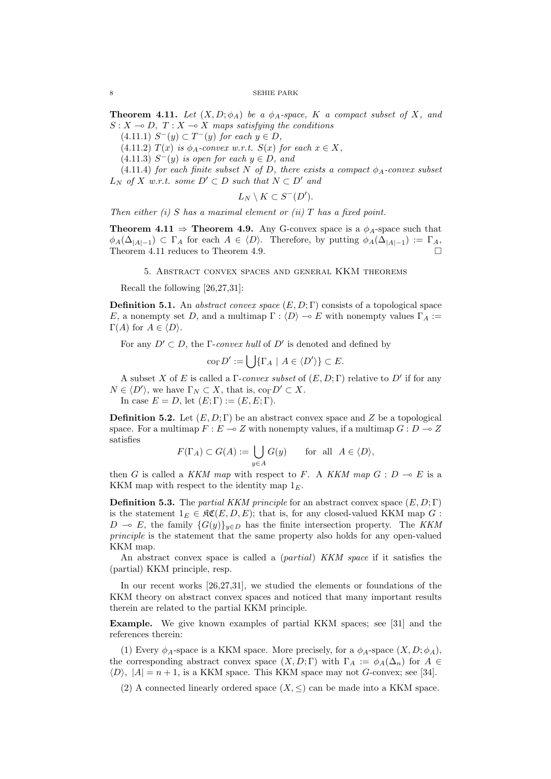$8$   $\hfill$  SEHIE PARK

**Theorem 4.11.** *Let*  $(X, D; \phi_A)$  *be a*  $\phi_A$ *-space,*  $K$  *a compact subset of*  $X$ *, and*  $S: X \rightarrow D, T: X \rightarrow X$  maps satisfying the conditions

 $(4.11.1)$  *S*<sup>−</sup>(*y*)  $\subset$  *T*<sup>−</sup>(*y*) *for each*  $y \in D$ *,* 

 $(4.11.2)$  *T*(*x*) *is*  $\phi_A$ -convex w.r.t. *S*(*x*) *for each*  $x \in X$ *,* 

 $(4.11.3)$   $S^-(y)$  *is open for each*  $y \in D$ *, and* 

(4.11.4) *for each finite subset*  $N$  *of*  $D$ *, there exists a compact*  $\phi_A$ *-convex subset*  $L_N$  *of X w.r.t. some*  $D' ⊂ D$  *such that*  $N ⊂ D'$  *and* 

$$
L_N \setminus K \subset S^-(D').
$$

*Then either (i) S has a maximal element or (ii) T has a fixed point.*

**Theorem 4.11**  $\Rightarrow$  **Theorem 4.9.** Any G-convex space is a  $\phi_A$ -space such that  $\phi_A(\Delta_{|A|-1}) \subset \Gamma_A$  for each  $A \in \langle D \rangle$ . Therefore, by putting  $\phi_A(\Delta_{|A|-1}) := \Gamma_A$ , Theorem *A* 11 reduces to Theorem *A* **0** Theorem 4.11 reduces to Theorem 4.9.

5. Abstract convex spaces and general KKM theorems

Recall the following [26,27,31]:

**Definition 5.1.** An *abstract convex space* (*E, D*; Γ) consists of a topological space *E*, a nonempty set *D*, and a multimap  $\Gamma : \langle D \rangle \to E$  with nonempty values  $\Gamma_A :=$ Γ(*A*) for  $A ∈ \langle D \rangle$ .

For any  $D' \subset D$ , the  $\Gamma$ -*convex hull* of  $D'$  is denoted and defined by

$$
\operatorname{co}_{\Gamma} D' := \bigcup \{ \Gamma_A \mid A \in \langle D' \rangle \} \subset E.
$$

A subset *X* of *E* is called a Γ-*convex subset* of (*E, D*; Γ) relative to *D′* if for any  $N \in \langle D' \rangle$ , we have  $\Gamma_N \subset X$ , that is,  $\text{co}_{\Gamma} D' \subset X$ .

In case  $E = D$ , let  $(E; \Gamma) := (E, E; \Gamma)$ .

**Definition 5.2.** Let  $(E, D; \Gamma)$  be an abstract convex space and Z be a topological space. For a multimap  $F: E \to Z$  with nonempty values, if a multimap  $G: D \to Z$ satisfies

$$
F(\Gamma_A) \subset G(A) := \bigcup_{y \in A} G(y) \quad \text{for all } A \in \langle D \rangle,
$$

then *G* is called a *KKM map* with respect to *F*. A *KKM map*  $G : D \multimap E$  is a KKM map with respect to the identity map  $1_F$ .

**Definition 5.3.** The *partial KKM principle* for an abstract convex space (*E, D*; Γ) is the statement  $1_E \in \mathfrak{RC}(E, D, E)$ ; that is, for any closed-valued KKM map *G* : *D* → *E*, the family  ${G(y)}_{y∈D}$  has the finite intersection property. The *KKM principle* is the statement that the same property also holds for any open-valued KKM map.

An abstract convex space is called a (*partial*) *KKM space* if it satisfies the (partial) KKM principle, resp.

In our recent works [26,27,31], we studied the elements or foundations of the KKM theory on abstract convex spaces and noticed that many important results therein are related to the partial KKM principle.

**Example.** We give known examples of partial KKM spaces; see [31] and the references therein:

(1) Every  $\phi_A$ -space is a KKM space. More precisely, for a  $\phi_A$ -space  $(X, D; \phi_A)$ , the corresponding abstract convex space  $(X, D; \Gamma)$  with  $\Gamma_A := \phi_A(\Delta_n)$  for  $A \in$  $\langle D \rangle$ ,  $|A| = n + 1$ , is a KKM space. This KKM space may not *G*-convex; see [34].

(2) A connected linearly ordered space  $(X, \leq)$  can be made into a KKM space.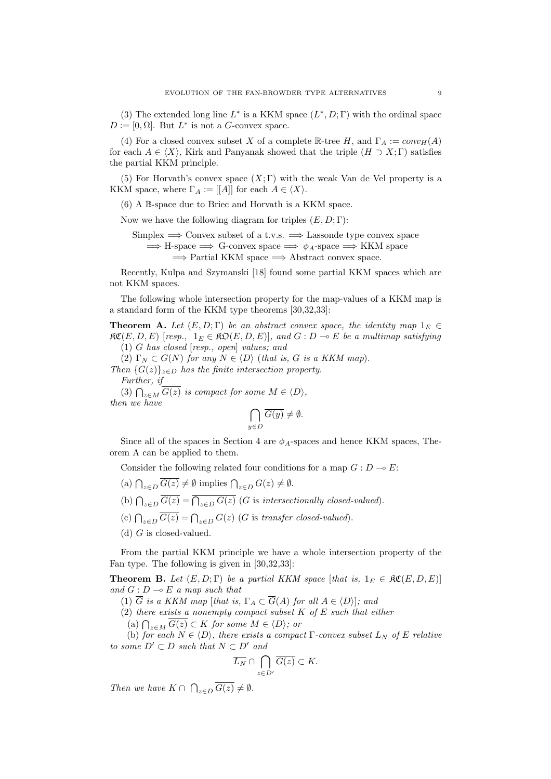(3) The extended long line  $L^*$  is a KKM space  $(L^*, D; \Gamma)$  with the ordinal space  $D := [0, \Omega]$ . But  $L^*$  is not a *G*-convex space.

(4) For a closed convex subset X of a complete  $\mathbb{R}$ -tree H, and  $\Gamma_A := conv_H(A)$ for each  $A \in \langle X \rangle$ , Kirk and Panyanak showed that the triple  $(H \supset X; \Gamma)$  satisfies the partial KKM principle.

(5) For Horvath's convex space  $(X; \Gamma)$  with the weak Van de Vel property is a KKM space, where  $\Gamma_A := [[A]]$  for each  $A \in \langle X \rangle$ .

(6) A B-space due to Briec and Horvath is a KKM space.

Now we have the following diagram for triples (*E, D*; Γ):

Simplex =*⇒* Convex subset of a t.v.s. =*⇒* Lassonde type convex space =*⇒* H-space =*⇒* G-convex space =*⇒ ϕA*-space =*⇒* KKM space =*⇒* Partial KKM space =*⇒* Abstract convex space.

Recently, Kulpa and Szymanski [18] found some partial KKM spaces which are not KKM spaces.

The following whole intersection property for the map-values of a KKM map is a standard form of the KKM type theorems [30,32,33]:

**Theorem A.** *Let*  $(E, D; \Gamma)$  *be an abstract convex space, the identity map*  $1_E \in$  $\mathfrak{RC}(E, D, E)$  [resp.,  $1_E \in \mathfrak{RO}(E, D, E)$ ], and  $G : D \to E$  be a multimap satisfying (1) *G has closed* [*resp., open*] *values; and*

(2)  $\Gamma_N \subset G(N)$  for any  $N \in \langle D \rangle$  (that is, G is a KKM map). *Then*  ${G(z)}_{z \in D}$  *has the finite intersection property. Further, if*  $(3)$   $\bigcap_{z \in M} \overline{G(z)}$  *is compact for some*  $M \in \langle D \rangle$ *,* 

*then we have*

$$
\bigcap_{y \in D} \overline{G(y)} \neq \emptyset.
$$

Since all of the spaces in Section 4 are *ϕA*-spaces and hence KKM spaces, Theorem A can be applied to them.

Consider the following related four conditions for a map  $G: D \to E$ :

 $(a) \bigcap_{z \in D} \overline{G(z)} \neq \emptyset$  implies  $\bigcap_{z \in D} G(z) \neq \emptyset$ .

- (b)  $\bigcap_{z \in D} \overline{G(z)} = \overline{\bigcap_{z \in D} G(z)}$  (*G* is *intersectionally closed-valued*).
- (c)  $\bigcap_{z \in D} \overline{G(z)} = \bigcap_{z \in D} G(z)$  (*G* is *transfer closed-valued*).
- (d) *G* is closed-valued.

From the partial KKM principle we have a whole intersection property of the Fan type. The following is given in [30,32,33]:

**Theorem B.** Let  $(E, D; \Gamma)$  be a partial KKM space [that is,  $1_E \in \mathcal{RC}(E, D, E)$ ] *and*  $G: D \to E$  *a map such that* 

(1)  $\overline{G}$  *is a KKM map* [*that is,*  $\Gamma_A \subset \overline{G}(A)$  *for all*  $A \in \langle D \rangle$ ]*; and* 

(2) *there exists a nonempty compact subset K of E such that either*

 $(A)$   $\bigcap_{z \in M}$   $\overline{G(z)} \subset K$  *for some*  $M \in \langle D \rangle$ *; or* 

(b) *for each*  $N \in \langle D \rangle$ *, there exists a compact*  $\Gamma$ *-convex subset*  $L_N$  *of*  $E$  *relative to some*  $D' ⊂ D$  *such that*  $N ⊂ D'$  *and* 

$$
\overline{L_N} \cap \bigcap_{z \in D'} \overline{G(z)} \subset K.
$$

*Then we have*  $K \cap \bigcap_{z \in D} \overline{G(z)} \neq \emptyset$ *.*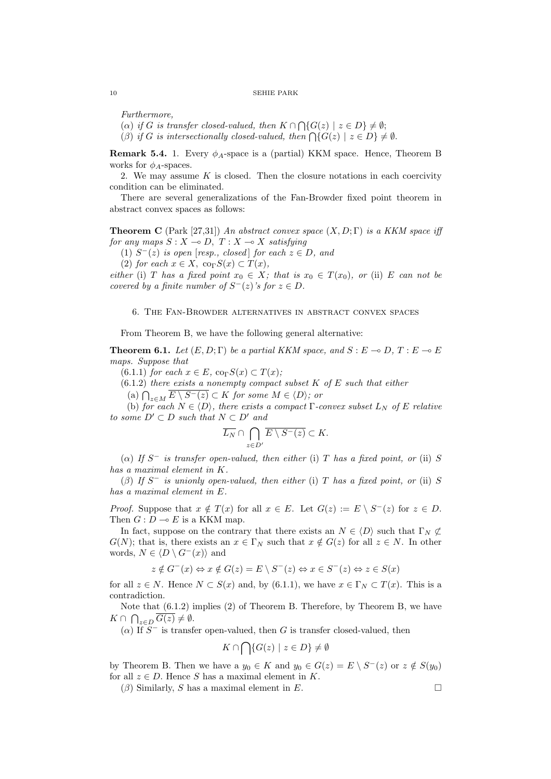*Furthermore,*

 $(\alpha)$  *if G is transfer closed-valued, then*  $K \cap \bigcap \{G(z) \mid z \in D\} \neq \emptyset;$  $(\beta)$  *if G is intersectionally closed-valued, then*  $\bigcap \{G(z) \mid z \in D\} \neq \emptyset$ .

**Remark 5.4.** 1. Every  $\phi_A$ -space is a (partial) KKM space. Hence, Theorem B works for  $\phi_A$ -spaces.

2. We may assume *K* is closed. Then the closure notations in each coercivity condition can be eliminated.

There are several generalizations of the Fan-Browder fixed point theorem in abstract convex spaces as follows:

**Theorem C** (Park [27,31]) *An abstract convex space* (*X, D*; Γ) *is a KKM space iff for any maps*  $S: X \to D$ ,  $T: X \to X$  *satisfying* 

(1) *S <sup>−</sup>*(*z*) *is open* [*resp., closed* ] *for each z ∈ D, and*

 $(2)$  *for each*  $x \in X$ ,  $\text{co}_{\Gamma}S(x) \subset T(x)$ ,

*either* (i) *T* has a fixed point  $x_0 \in X$ ; that is  $x_0 \in T(x_0)$ , or (ii) *E* can not be *covered by a finite number of*  $S^{-}(z)$ *'s for*  $z \in D$ *.* 

# 6. The Fan-Browder alternatives in abstract convex spaces

From Theorem B, we have the following general alternative:

**Theorem 6.1.** Let  $(E, D; \Gamma)$  be a partial KKM space, and  $S: E \to D$ ,  $T: E \to E$ *maps. Suppose that*

 $(6.1.1)$  *for each*  $x \in E$ *,* co<sub> $\Gamma$ </sub> $S(x) \subset T(x)$ *;* 

(6.1.2) *there exists a nonempty compact subset K of E such that either*

 $\left(\begin{array}{c}\n\text{(a)} \bigcap_{z \in M} \overline{E \setminus S^-(z)} \subset K \text{ for some } M \in \langle D \rangle; \text{ or }$ 

(b) *for each*  $N \in \langle D \rangle$ *, there exists a compact*  $\Gamma$ *-convex subset*  $L_N$  *of*  $E$  *relative*  $to$  *some*  $D' ⊂ D$  *such that*  $N ⊂ D'$  *and* 

$$
\overline{L_N} \cap \bigcap_{z \in D'} \overline{E \setminus S^-(z)} \subset K.
$$

(*α*) *If S <sup>−</sup> is transfer open-valued, then either* (i) *T has a fixed point, or* (ii) *S has a maximal element in K.*

(*β*) *If S <sup>−</sup> is unionly open-valued, then either* (i) *T has a fixed point, or* (ii) *S has a maximal element in E.*

*Proof.* Suppose that  $x \notin T(x)$  for all  $x \in E$ . Let  $G(z) := E \setminus S^{-}(z)$  for  $z \in D$ . Then  $G: D \to E$  is a KKM map.

In fact, suppose on the contrary that there exists an  $N \in \langle D \rangle$  such that  $\Gamma_N \not\subset \Gamma$ *G*(*N*); that is, there exists an  $x \in \Gamma_N$  such that  $x \notin G(z)$  for all  $z \in N$ . In other words,  $N \in \langle D \setminus G^{-}(x) \rangle$  and

$$
z \notin G^-(x) \Leftrightarrow x \notin G(z) = E \setminus S^-(z) \Leftrightarrow x \in S^-(z) \Leftrightarrow z \in S(x)
$$

for all  $z \in N$ . Hence  $N \subset S(x)$  and, by (6.1.1), we have  $x \in \Gamma_N \subset T(x)$ . This is a contradiction.

Note that (6.1.2) implies (2) of Theorem B. Therefore, by Theorem B, we have  $K \cap \bigcap_{z \in D} \overline{G(z)} \neq \emptyset.$ 

 $(\alpha)$  If  $S^-$  is transfer open-valued, then *G* is transfer closed-valued, then

$$
K \cap \bigcap \{ G(z) \mid z \in D \} \neq \emptyset
$$

by Theorem B. Then we have a  $y_0 \in K$  and  $y_0 \in G(z) = E \setminus S^{-}(z)$  or  $z \notin S(y_0)$ for all  $z \in D$ . Hence *S* has a maximal element in *K*.

 $(\beta)$  Similarly, *S* has a maximal element in *E*.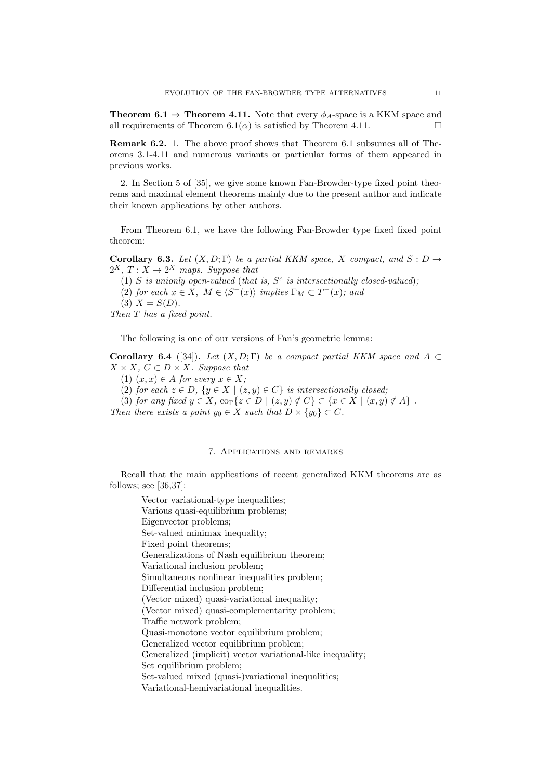**Theorem 6.1**  $\Rightarrow$  **Theorem 4.11.** Note that every  $\phi_A$ -space is a KKM space and all requirements of Theorem 6.1( $\alpha$ ) is satisfied by Theorem 4.11.

**Remark 6.2.** 1. The above proof shows that Theorem 6.1 subsumes all of Theorems 3.1-4.11 and numerous variants or particular forms of them appeared in previous works.

2. In Section 5 of [35], we give some known Fan-Browder-type fixed point theorems and maximal element theorems mainly due to the present author and indicate their known applications by other authors.

From Theorem 6.1, we have the following Fan-Browder type fixed fixed point theorem:

**Corollary 6.3.** *Let*  $(X, D; \Gamma)$  *be a partial KKM space, X compact, and*  $S: D \rightarrow$  $2^X$ ,  $T: X \rightarrow 2^X$  maps. Suppose that

(1) *S* is unionly open-valued (that is,  $S<sup>c</sup>$  is intersectionally closed-valued); (2) *for each*  $x \in X$ ,  $M \in \langle S^{-}(x) \rangle$  *implies*  $\Gamma_M \subset T^{-}(x)$ *; and*  $(3)$   $X = S(D)$ . *Then T has a fixed point.*

The following is one of our versions of Fan's geometric lemma:

**Corollary 6.4** ([34]). *Let*  $(X, D; \Gamma)$  *be a compact partial KKM space and*  $A \subset$  $X$  *× X, C*  $\subset$  *D × X. Suppose that* 

 $(1)$   $(x, x) \in A$  *for every*  $x \in X$ ;

(2) *for each*  $z \in D$ ,  $\{y \in X \mid (z, y) \in C\}$  *is intersectionally closed;* 

(3) for any fixed  $y \in X$ ,  $\text{co}_{\Gamma}\{z \in D \mid (z, y) \notin C\} \subset \{x \in X \mid (x, y) \notin A\}$ .

*Then there exists a point*  $y_0 \in X$  *such that*  $D \times \{y_0\} \subset C$ *.* 

# 7. Applications and remarks

Recall that the main applications of recent generalized KKM theorems are as follows; see [36,37]:

Vector variational-type inequalities; Various quasi-equilibrium problems; Eigenvector problems; Set-valued minimax inequality; Fixed point theorems; Generalizations of Nash equilibrium theorem; Variational inclusion problem; Simultaneous nonlinear inequalities problem; Differential inclusion problem; (Vector mixed) quasi-variational inequality; (Vector mixed) quasi-complementarity problem; Traffic network problem; Quasi-monotone vector equilibrium problem; Generalized vector equilibrium problem; Generalized (implicit) vector variational-like inequality; Set equilibrium problem; Set-valued mixed (quasi-)variational inequalities; Variational-hemivariational inequalities.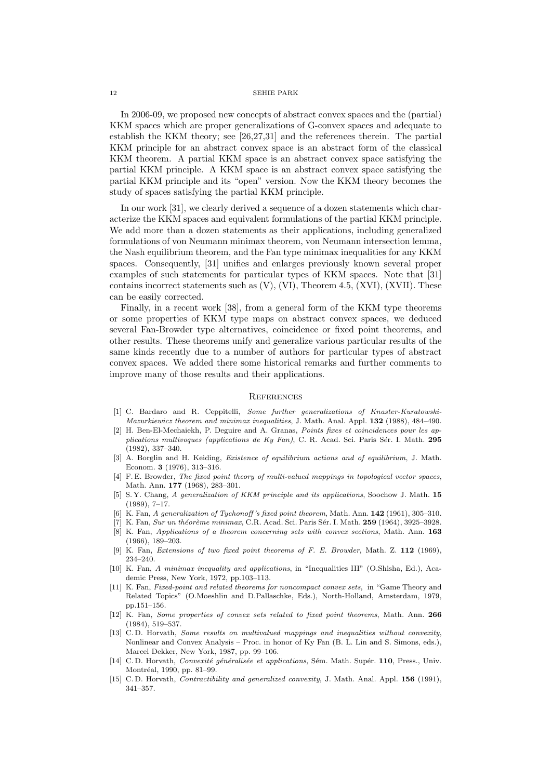In 2006-09, we proposed new concepts of abstract convex spaces and the (partial) KKM spaces which are proper generalizations of G-convex spaces and adequate to establish the KKM theory; see [26,27,31] and the references therein. The partial KKM principle for an abstract convex space is an abstract form of the classical KKM theorem. A partial KKM space is an abstract convex space satisfying the partial KKM principle. A KKM space is an abstract convex space satisfying the partial KKM principle and its "open" version. Now the KKM theory becomes the study of spaces satisfying the partial KKM principle.

In our work [31], we clearly derived a sequence of a dozen statements which characterize the KKM spaces and equivalent formulations of the partial KKM principle. We add more than a dozen statements as their applications, including generalized formulations of von Neumann minimax theorem, von Neumann intersection lemma, the Nash equilibrium theorem, and the Fan type minimax inequalities for any KKM spaces. Consequently, [31] unifies and enlarges previously known several proper examples of such statements for particular types of KKM spaces. Note that [31] contains incorrect statements such as (V), (VI), Theorem 4.5, (XVI), (XVII). These can be easily corrected.

Finally, in a recent work [38], from a general form of the KKM type theorems or some properties of KKM type maps on abstract convex spaces, we deduced several Fan-Browder type alternatives, coincidence or fixed point theorems, and other results. These theorems unify and generalize various particular results of the same kinds recently due to a number of authors for particular types of abstract convex spaces. We added there some historical remarks and further comments to improve many of those results and their applications.

#### **REFERENCES**

- [1] C. Bardaro and R. Ceppitelli, *Some further generalizations of Knaster-Kuratowski-Mazurkiewicz theorem and minimax inequalities*, J. Math. Anal. Appl. **132** (1988), 484–490.
- [2] H. Ben-El-Mechaiekh, P. Deguire and A. Granas, *Points fixes et coincidences pour les applications multivoques (applications de Ky Fan)*, C. R. Acad. Sci. Paris S´*e*r. I. Math. **295** (1982), 337–340.
- [3] A. Borglin and H. Keiding, *Existence of equilibrium actions and of equilibrium*, J. Math. Econom. **3** (1976), 313–316.
- [4] F. E. Browder, *The fixed point theory of multi-valued mappings in topological vector spaces*, Math. Ann. **177** (1968), 283–301.
- [5] S. Y. Chang, *A generalization of KKM principle and its applications*, Soochow J. Math. **15** (1989), 7–17.
- [6] K. Fan, *A generalization of Tychonoff 's fixed point theorem*, Math. Ann. **142** (1961), 305–310.
- [7] K. Fan, *Sur un th´eor`eme minimax*, C.R. Acad. Sci. Paris S´er. I. Math. **259** (1964), 3925–3928.
- [8] K. Fan, *Applications of a theorem concerning sets with convex sections*, Math. Ann. **163** (1966), 189–203.
- [9] K. Fan, *Extensions of two fixed point theorems of F. E. Browder*, Math. Z. **112** (1969), 234–240.
- [10] K. Fan, *A minimax inequality and applications*, in "Inequalities III" (O.Shisha, Ed.), Academic Press, New York, 1972, pp.103–113.
- [11] K. Fan, *Fixed-point and related theorems for noncompact convex sets*, in "Game Theory and Related Topics" (O.Moeshlin and D.Pallaschke, Eds.), North-Holland, Amsterdam, 1979, pp.151–156.
- [12] K. Fan, *Some properties of convex sets related to fixed point theorems*, Math. Ann. **266** (1984), 519–537.
- [13] C. D. Horvath, *Some results on multivalued mappings and inequalities without convexity*, Nonlinear and Convex Analysis – Proc. in honor of Ky Fan (B. L. Lin and S. Simons, eds.), Marcel Dekker, New York, 1987, pp. 99–106.
- [14] C. D. Horvath, *Convexit´e g´en´eralis´ee et applications*, S´em. Math. Sup´er. **110**, Press., Univ. Montréal, 1990, pp. 81–99.
- [15] C. D. Horvath, *Contractibility and generalized convexity*, J. Math. Anal. Appl. **156** (1991), 341–357.